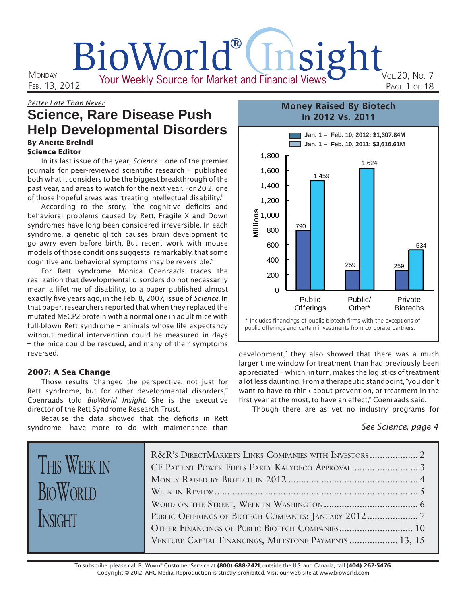# BioWorld®(Insight Your Weekly Source for Market and Financial Views VOL.20, NO. 7 PAGE 1 OF 18

**MONDAY** FEB. 13, 2012

# Better Late Than Never **Science, Rare Disease Push Help Developmental Disorders**

#### By Anette Breindl Science Editor

In its last issue of the year. Science – one of the premier journals for peer-reviewed scientific research  $-$  published both what it considers to be the biggest breakthrough of the past year, and areas to watch for the next year. For 2012, one of those hopeful areas was "treating intellectual disability."

According to the story, "the cognitive deficits and behavioral problems caused by Rett, Fragile X and Down syndromes have long been considered irreversible. In each syndrome, a genetic glitch causes brain development to go awry even before birth. But recent work with mouse models of those conditions suggests, remarkably, that some cognitive and behavioral symptoms may be reversible."

For Rett syndrome, Monica Coenraads traces the realization that developmental disorders do not necessarily mean a lifetime of disability, to a paper published almost exactly five years ago, in the Feb. 8, 2007, issue of Science. In that paper, researchers reported that when they replaced the mutated MeCP2 protein with a normal one in adult mice with full-blown Rett syndrome – animals whose life expectancy without medical intervention could be measured in days – the mice could be rescued, and many of their symptoms reversed.

## 2007: A Sea Change

THIS WEEK IN

**BIOWORLD** 

INSIGHT

Those results "changed the perspective, not just for Rett syndrome, but for other developmental disorders," Coenraads told BioWorld Insight. She is the executive director of the Rett Syndrome Research Trust.

Because the data showed that the deficits in Rett syndrome "have more to do with maintenance than

#### **Jan. 1 – Feb. 10, 2012: \$1,307.84M Jan. 1 – Feb. 10, 2011: \$3,616.61M Money Raised By Biotech In 2012 Vs. 2011** 790  $259$  259 1,459 1,624 534 200 400 600 800 1,000 1,200 1,400 1,600 1,800 **Millions**

\* Includes financings of public biotech firms with the exceptions of public offerings and certain investments from corporate partners.

Public/ Other\*

Public **Offerings** 

development," they also showed that there was a much larger time window for treatment than had previously been appreciated – which, in turn, makes the logistics of treatment a lot less daunting. From a therapeutic standpoint, "you don't want to have to think about prevention, or treatment in the first year at the most, to have an effect," Coenraads said.

Though there are as yet no industry programs for

## See Science, page 4

Private **Biotechs** 

| R&R's DIRECTMARKETS LINKS COMPANIES WITH INVESTORS 2   |
|--------------------------------------------------------|
|                                                        |
|                                                        |
|                                                        |
|                                                        |
|                                                        |
|                                                        |
| VENTURE CAPITAL FINANCINGS, MILESTONE PAYMENTS  13, 15 |

 $\Omega$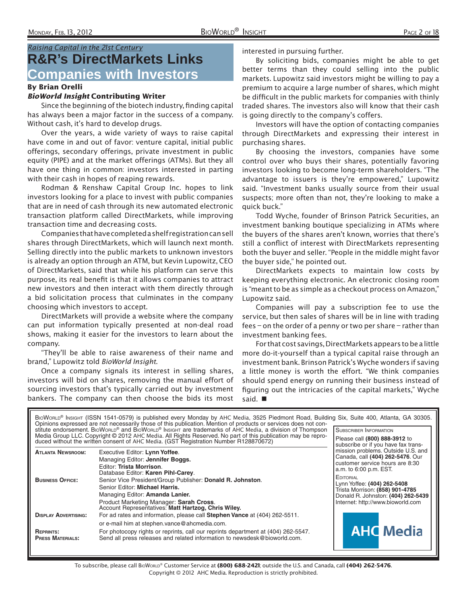## Raising Capital in the 21st Century **R&R's DirectMarkets Links Companies with Investors**

#### By Brian Orelli

#### BioWorld Insight Contributing Writer

Since the beginning of the biotech industry, finding capital has always been a major factor in the success of a company. Without cash, it's hard to develop drugs.

Over the years, a wide variety of ways to raise capital have come in and out of favor: venture capital, initial public offerings, secondary offerings, private investment in public equity (PIPE) and at the market offerings (ATMs). But they all have one thing in common: investors interested in parting with their cash in hopes of reaping rewards.

Rodman & Renshaw Capital Group Inc. hopes to link investors looking for a place to invest with public companies that are in need of cash through its new automated electronic transaction platform called DirectMarkets, while improving transaction time and decreasing costs.

Companies that have completed a shelf registration can sell shares through DirectMarkets, which will launch next month. Selling directly into the public markets to unknown investors is already an option through an ATM, but Kevin Lupowitz, CEO of DirectMarkets, said that while his platform can serve this purpose, its real benefit is that it allows companies to attract new investors and then interact with them directly through a bid solicitation process that culminates in the company choosing which investors to accept.

DirectMarkets will provide a website where the company can put information typically presented at non-deal road shows, making it easier for the investors to learn about the company.

"They'll be able to raise awareness of their name and brand," Lupowitz told BioWorld Insight.

Once a company signals its interest in selling shares, investors will bid on shares, removing the manual effort of sourcing investors that's typically carried out by investment bankers. The company can then choose the bids its most

interested in pursuing further.

By soliciting bids, companies might be able to get better terms than they could selling into the public markets. Lupowitz said investors might be willing to pay a premium to acquire a large number of shares, which might be difficult in the public markets for companies with thinly traded shares. The investors also will know that their cash is going directly to the company's coffers.

Investors will have the option of contacting companies through DirectMarkets and expressing their interest in purchasing shares.

By choosing the investors, companies have some control over who buys their shares, potentially favoring investors looking to become long-term shareholders. "The advantage to issuers is they're empowered," Lupowitz said. "Investment banks usually source from their usual suspects; more often than not, they're looking to make a quick buck."

Todd Wyche, founder of Brinson Patrick Securities, an investment banking boutique specializing in ATMs where the buyers of the shares aren't known, worries that there's still a conflict of interest with DirectMarkets representing both the buyer and seller. "People in the middle might favor the buyer side," he pointed out.

DirectMarkets expects to maintain low costs by keeping everything electronic. An electronic closing room is "meant to be as simple as a checkout process on Amazon," Lupowitz said.

Companies will pay a subscription fee to use the service, but then sales of shares will be in line with trading fees – on the order of a penny or two per share – rather than investment banking fees.

For that cost savings, DirectMarkets appears to be a little more do-it-yourself than a typical capital raise through an investment bank. Brinson Patrick's Wyche wonders if saving a little money is worth the effort. "We think companies should spend energy on running their business instead of figuring out the intricacies of the capital markets," Wyche said.

|                                             | BIOWORLD® INSIGHT (ISSN 1541-0579) is published every Monday by AHC Media, 3525 Piedmont Road, Building Six, Suite 400, Atlanta, GA 30305.<br>Opinions expressed are not necessarily those of this publication. Mention of products or services does not con-<br>stitute endorsement. BioWorld® and BioWorld® Insight are trademarks of AHC Media, a division of Thompson<br>Media Group LLC. Copyright © 2012 AHC Media. All Rights Reserved. No part of this publication may be repro-<br>duced without the written consent of AHC Media. (GST Registration Number R128870672) | <b>SUBSCRIBER INFORMATION</b><br>Please call (800) 888-3912 to<br>subscribe or if you have fax trans-                                                         |
|---------------------------------------------|----------------------------------------------------------------------------------------------------------------------------------------------------------------------------------------------------------------------------------------------------------------------------------------------------------------------------------------------------------------------------------------------------------------------------------------------------------------------------------------------------------------------------------------------------------------------------------|---------------------------------------------------------------------------------------------------------------------------------------------------------------|
| <b>ATLANTA NEWSROOM:</b>                    | Executive Editor: Lynn Yoffee.<br>Managing Editor: Jennifer Boggs.<br>Editor: Trista Morrison.<br>Database Editor: Karen Pihl-Carey.                                                                                                                                                                                                                                                                                                                                                                                                                                             | mission problems. Outside U.S. and<br>Canada, call (404) 262-5476. Our<br>customer service hours are 8:30<br>a.m. to 6:00 p.m. EST.                           |
| <b>BUSINESS OFFICE:</b>                     | Senior Vice President/Group Publisher: Donald R. Johnston.<br>Senior Editor: Michael Harris.<br>Managing Editor: Amanda Lanier.<br>Product Marketing Manager: Sarah Cross.<br>Account Representatives: Matt Hartzog, Chris Wiley.                                                                                                                                                                                                                                                                                                                                                | <b>EDITORIAL</b><br>Lynn Yoffee: (404) 262-5408<br>Trista Morrison: (858) 901-4785<br>Donald R. Johnston: (404) 262-5439<br>Internet: http://www.bioworld.com |
| <b>DISPLAY ADVERTISING:</b>                 | For ad rates and information, please call Stephen Vance at (404) 262-5511.                                                                                                                                                                                                                                                                                                                                                                                                                                                                                                       |                                                                                                                                                               |
| <b>REPRINTS:</b><br><b>PRESS MATERIALS:</b> | or e-mail him at stephen.vance@ahcmedia.com.<br>For photocopy rights or reprints, call our reprints department at (404) 262-5547.<br>Send all press releases and related information to newsdesk@bioworld.com.                                                                                                                                                                                                                                                                                                                                                                   | <b>AHC</b> Media                                                                                                                                              |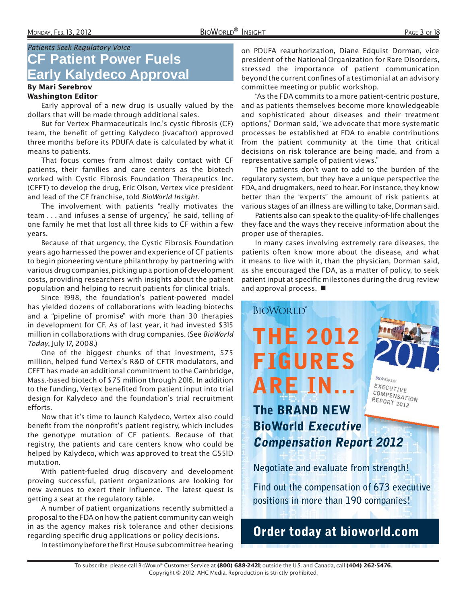## Patients Seek Regulatory Voice **CF Patient Power Fuels Early Kalydeco Approval**

#### By Mari Serebrov Washington Editor

Early approval of a new drug is usually valued by the dollars that will be made through additional sales.

But for Vertex Pharmaceuticals Inc.'s cystic fibrosis (CF) team, the benefit of getting Kalydeco (ivacaftor) approved three months before its PDUFA date is calculated by what it means to patients.

That focus comes from almost daily contact with CF patients, their families and care centers as the biotech worked with Cystic Fibrosis Foundation Therapeutics Inc. (CFFT) to develop the drug, Eric Olson, Vertex vice president and lead of the CF franchise, told BioWorld Insight.

The involvement with patients "really motivates the team . . . and infuses a sense of urgency," he said, telling of one family he met that lost all three kids to CF within a few years.

Because of that urgency, the Cystic Fibrosis Foundation years ago harnessed the power and experience of CF patients to begin pioneering venture philanthropy by partnering with various drug companies, picking up a portion of development costs, providing researchers with insights about the patient population and helping to recruit patients for clinical trials.

Since 1998, the foundation's patient-powered model has yielded dozens of collaborations with leading biotechs and a "pipeline of promise" with more than 30 therapies in development for CF. As of last year, it had invested \$315 million in collaborations with drug companies. (See BioWorld Today, July 17, 2008.)

One of the biggest chunks of that investment, \$75 million, helped fund Vertex's R&D of CFTR modulators, and CFFT has made an additional commitment to the Cambridge, Mass.-based biotech of \$75 million through 2016. In addition to the funding, Vertex benefited from patient input into trial design for Kalydeco and the foundation's trial recruitment efforts.

Now that it's time to launch Kalydeco, Vertex also could benefit from the nonprofit's patient registry, which includes the genotype mutation of CF patients. Because of that registry, the patients and care centers know who could be helped by Kalydeco, which was approved to treat the G551D mutation.

With patient-fueled drug discovery and development proving successful, patient organizations are looking for new avenues to exert their influence. The latest quest is getting a seat at the regulatory table.

A number of patient organizations recently submitted a proposal to the FDA on how the patient community can weigh in as the agency makes risk tolerance and other decisions regarding specific drug applications or policy decisions.

In testimony before the first House subcommittee hearing

on PDUFA reauthorization, Diane Edquist Dorman, vice president of the National Organization for Rare Disorders, stressed the importance of patient communication beyond the current confines of a testimonial at an advisory committee meeting or public workshop.

"As the FDA commits to a more patient-centric posture, and as patients themselves become more knowledgeable and sophisticated about diseases and their treatment options," Dorman said, "we advocate that more systematic processes be established at FDA to enable contributions from the patient community at the time that critical decisions on risk tolerance are being made, and from a representative sample of patient views."

The patients don't want to add to the burden of the regulatory system, but they have a unique perspective the FDA, and drugmakers, need to hear. For instance, they know better than the "experts" the amount of risk patients at various stages of an illness are willing to take, Dorman said.

Patients also can speak to the quality-of-life challenges they face and the ways they receive information about the proper use of therapies.

In many cases involving extremely rare diseases, the patients often know more about the disease, and what it means to live with it, than the physician, Dorman said, as she encouraged the FDA, as a matter of policy, to seek patient input at specific milestones during the drug review and approval process.

## COMPENSATION REPORT 2012 **The BRAND NEW BioWorld Executive Compensation Report 2012**

**THE 2012** 

**FIGURES** 

**ARE IN...**

**BIOWORLD®** 

**Negotiate and evaluate from strength!**

**Find out the compensation of 673 executive positions in more than 190 companies!**

**BIOWORLD** EXECUTIVE

# **Order today at bioworld.com**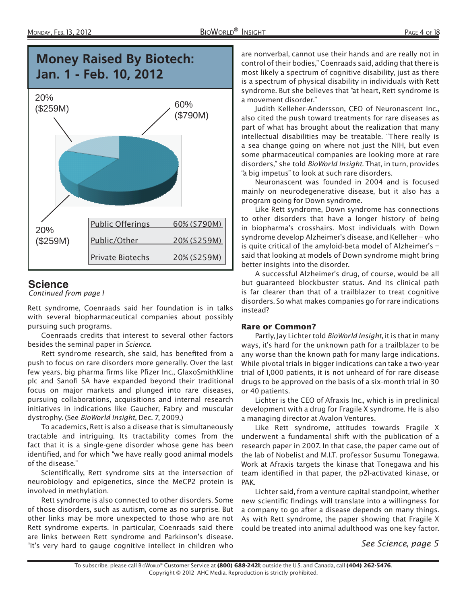



## **Science**

Continued from page 1

Rett syndrome, Coenraads said her foundation is in talks with several biopharmaceutical companies about possibly pursuing such programs.

Coenraads credits that interest to several other factors besides the seminal paper in Science.

Rett syndrome research, she said, has benefited from a push to focus on rare disorders more generally. Over the last few years, big pharma firms like Pfizer Inc., GlaxoSmithKline plc and Sanofi SA have expanded beyond their traditional focus on major markets and plunged into rare diseases, pursuing collaborations, acquisitions and internal research initiatives in indications like Gaucher, Fabry and muscular dystrophy. (See BioWorld Insight, Dec. 7, 2009.)

To academics, Rett is also a disease that is simultaneously tractable and intriguing. Its tractability comes from the fact that it is a single-gene disorder whose gene has been identified, and for which "we have really good animal models of the disease."

Scientifically, Rett syndrome sits at the intersection of neurobiology and epigenetics, since the MeCP2 protein is involved in methylation.

Rett syndrome is also connected to other disorders. Some of those disorders, such as autism, come as no surprise. But other links may be more unexpected to those who are not Rett syndrome experts. In particular, Coenraads said there are links between Rett syndrome and Parkinson's disease. "It's very hard to gauge cognitive intellect in children who

are nonverbal, cannot use their hands and are really not in control of their bodies," Coenraads said, adding that there is most likely a spectrum of cognitive disability, just as there is a spectrum of physical disability in individuals with Rett syndrome. But she believes that "at heart, Rett syndrome is a movement disorder."

Judith Kelleher-Andersson, CEO of Neuronascent Inc., also cited the push toward treatments for rare diseases as part of what has brought about the realization that many intellectual disabilities may be treatable. "There really is a sea change going on where not just the NIH, but even some pharmaceutical companies are looking more at rare disorders," she told BioWorld Insight. That, in turn, provides "a big impetus" to look at such rare disorders.

Neuronascent was founded in 2004 and is focused mainly on neurodegenerative disease, but it also has a program going for Down syndrome.

Like Rett syndrome, Down syndrome has connections to other disorders that have a longer history of being in biopharma's crosshairs. Most individuals with Down syndrome develop Alzheimer's disease, and Kelleher – who is quite critical of the amyloid-beta model of Alzheimer's – said that looking at models of Down syndrome might bring better insights into the disorder.

A successful Alzheimer's drug, of course, would be all but guaranteed blockbuster status. And its clinical path is far clearer than that of a trailblazer to treat cognitive disorders. So what makes companies go for rare indications instead?

#### Rare or Common?

Partly, Jay Lichter told BioWorld Insight, it is that in many ways, it's hard for the unknown path for a trailblazer to be any worse than the known path for many large indications. While pivotal trials in bigger indications can take a two-year trial of 1,000 patients, it is not unheard of for rare disease drugs to be approved on the basis of a six-month trial in 30 or 40 patients.

Lichter is the CEO of Afraxis Inc., which is in preclinical development with a drug for Fragile X syndrome. He is also a managing director at Avalon Ventures.

Like Rett syndrome, attitudes towards Fragile X underwent a fundamental shift with the publication of a research paper in 2007. In that case, the paper came out of the lab of Nobelist and M.I.T. professor Susumu Tonegawa. Work at Afraxis targets the kinase that Tonegawa and his team identified in that paper, the p21-activated kinase, or PAK.

Lichter said, from a venture capital standpoint, whether new scientific findings will translate into a willingness for a company to go after a disease depends on many things. As with Rett syndrome, the paper showing that Fragile X could be treated into animal adulthood was one key factor.

See Science, page 5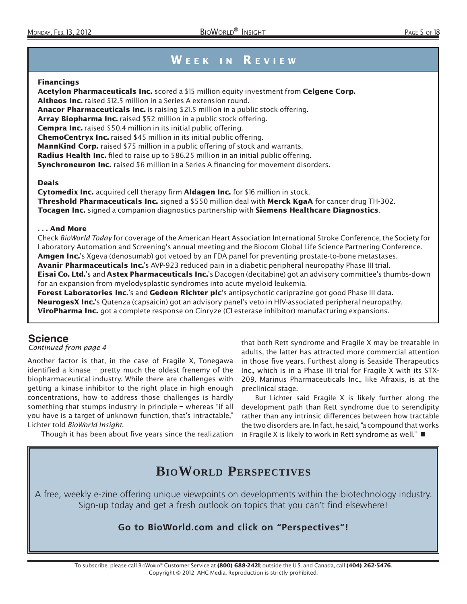# WEEK IN REVIEW

#### Financings

Acetylon Pharmaceuticals Inc. scored a \$15 million equity investment from Celgene Corp. Altheos Inc. raised \$12.5 million in a Series A extension round. Anacor Pharmaceuticals Inc. is raising \$21.5 million in a public stock offering. Array Biopharma Inc. raised \$52 million in a public stock offering. Cempra Inc. raised \$50.4 million in its initial public offering. ChemoCentryx Inc. raised \$45 million in its initial public offering. MannKind Corp. raised \$75 million in a public offering of stock and warrants. Radius Health Inc. filed to raise up to \$86.25 million in an initial public offering. **Synchroneuron Inc.** raised \$6 million in a Series A financing for movement disorders.

#### Deals

Cytomedix Inc. acquired cell therapy firm Aldagen Inc. for \$16 million in stock. Threshold Pharmaceuticals Inc. signed a \$550 million deal with Merck KgaA for cancer drug TH-302. Tocagen Inc. signed a companion diagnostics partnership with Siemens Healthcare Diagnostics.

#### . . . And More

Check BioWorld Today for coverage of the American Heart Association International Stroke Conference, the Society for Laboratory Automation and Screening's annual meeting and the Biocom Global Life Science Partnering Conference. Amgen Inc.'s Xgeva (denosumab) got vetoed by an FDA panel for preventing prostate-to-bone metastases. Avanir Pharmaceuticals Inc.'s AVP-923 reduced pain in a diabetic peripheral neuropathy Phase III trial.

Eisai Co. Ltd.'s and Astex Pharmaceuticals Inc.'s Dacogen (decitabine) got an advisory committee's thumbs-down for an expansion from myelodysplastic syndromes into acute myeloid leukemia.

Forest Laboratories Inc.'s and Gedeon Richter plc's antipsychotic cariprazine got good Phase III data. NeurogesX Inc.'s Qutenza (capsaicin) got an advisory panel's veto in HIV-associated peripheral neuropathy. ViroPharma Inc. got a complete response on Cinryze (CI esterase inhibitor) manufacturing expansions.

## **Science**

Continued from page 4

Another factor is that, in the case of Fragile X, Tonegawa identified a kinase  $-$  pretty much the oldest frenemy of the biopharmaceutical industry. While there are challenges with getting a kinase inhibitor to the right place in high enough concentrations, how to address those challenges is hardly something that stumps industry in principle – whereas "if all you have is a target of unknown function, that's intractable," Lichter told BioWorld Insight.

Though it has been about five years since the realization

that both Rett syndrome and Fragile X may be treatable in adults, the latter has attracted more commercial attention in those five years. Furthest along is Seaside Therapeutics Inc., which is in a Phase III trial for Fragile X with its STX-209. Marinus Pharmaceuticals Inc., like Afraxis, is at the preclinical stage.

But Lichter said Fragile X is likely further along the development path than Rett syndrome due to serendipity rather than any intrinsic differences between how tractable the two disorders are. In fact, he said, "a compound that works in Fragile X is likely to work in Rett syndrome as well."  $\blacksquare$ 

# **BIOWORLD PERSPECTIVES**

A free, weekly e-zine offering unique viewpoints on developments within the biotechnology industry. Sign-up today and get a fresh outlook on topics that you can't find elsewhere!

## **Go to BioWorld.com and click on "Perspectives"!**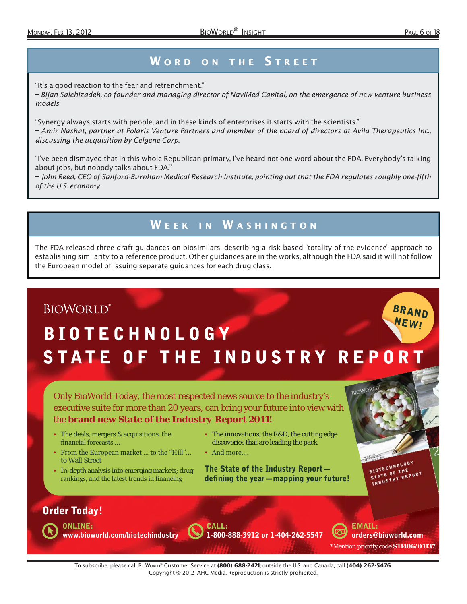## **WORD ON THE STREET**

"It's a good reaction to the fear and retrenchment."

– Bijan Salehizadeh, co-founder and managing director of NaviMed Capital, on the emergence of new venture business models

"Synergy always starts with people, and in these kinds of enterprises it starts with the scientists." – Amir Nashat, partner at Polaris Venture Partners and member of the board of directors at Avila Therapeutics Inc., discussing the acquisition by Celgene Corp.

"I've been dismayed that in this whole Republican primary, I've heard not one word about the FDA. Everybody's talking about jobs, but nobody talks about FDA."

– John Reed, CEO of Sanford-Burnham Medical Research Institute, pointing out that the FDA regulates roughly one-fifth of the U.S. economy

# WEEK IN WASHINGTON

The FDA released three draft guidances on biosimilars, describing a risk-based "totality-of-the-evidence" approach to establishing similarity to a reference product. Other guidances are in the works, although the FDA said it will not follow the European model of issuing separate guidances for each drug class.

# **BIOWORLD® BRAND NEW! BIOTECHNOLOGY** STATE OF THE INDUSTRY REPORT

Only BioWorld Today, the most respected news source to the industry's executive suite for more than 20 years, can bring your future into view with the **brand new** *State of the Industry Report 2011***!** 

- The deals, mergers & acquisitions, the financial forecasts ...
- From the European market ... to the "Hill"... to Wall Street
- In-depth analysis into emerging markets; drug rankings, and the latest trends in financing
- The innovations, the R&D, the cutting edge discoveries that are leading the pack
- And more....

**The State of the Industry Report defining the year—mapping your future!**



## **Order Today!**

**ONLINE: www.bioworld.com/biotechindustry** **CALL: 1-800-888-3912 or 1-404-262-5547**

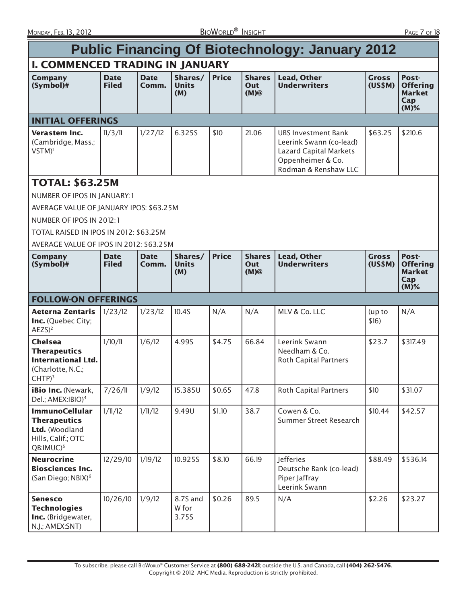| <b>Public Financing Of Biotechnology: January 2012</b>                                                             |                             |                      |                                |              |                                 |                                                                                                                       |                         |                                                             |
|--------------------------------------------------------------------------------------------------------------------|-----------------------------|----------------------|--------------------------------|--------------|---------------------------------|-----------------------------------------------------------------------------------------------------------------------|-------------------------|-------------------------------------------------------------|
| <b>I. COMMENCED TRADING IN JANUARY</b>                                                                             |                             |                      |                                |              |                                 |                                                                                                                       |                         |                                                             |
| <b>Company</b><br>$(Symbol)$ #                                                                                     | <b>Date</b><br><b>Filed</b> | <b>Date</b><br>Comm. | Shares/<br><b>Units</b><br>(M) | <b>Price</b> | <b>Shares</b><br>Out<br>(M)@    | <b>Lead, Other</b><br><b>Underwriters</b>                                                                             | <b>Gross</b><br>(US\$M) | Post-<br><b>Offering</b><br><b>Market</b><br>Cap<br>$(M)\%$ |
| <b>INITIAL OFFERINGS</b>                                                                                           |                             |                      |                                |              |                                 |                                                                                                                       |                         |                                                             |
| Verastem Inc.<br>(Cambridge, Mass.;<br>$VSTM$ <sup>1</sup>                                                         | 11/3/11                     | 1/27/12              | 6.325S                         | \$10         | 21.06                           | UBS Investment Bank<br>Leerink Swann (co-lead)<br>Lazard Capital Markets<br>Oppenheimer & Co.<br>Rodman & Renshaw LLC | \$63.25                 | \$210.6                                                     |
| <b>TOTAL: \$63.25M</b>                                                                                             |                             |                      |                                |              |                                 |                                                                                                                       |                         |                                                             |
| NUMBER OF IPOS IN JANUARY: 1                                                                                       |                             |                      |                                |              |                                 |                                                                                                                       |                         |                                                             |
| AVERAGE VALUE OF JANUARY IPOS: \$63.25M                                                                            |                             |                      |                                |              |                                 |                                                                                                                       |                         |                                                             |
| NUMBER OF IPOS IN 2012:1                                                                                           |                             |                      |                                |              |                                 |                                                                                                                       |                         |                                                             |
| TOTAL RAISED IN IPOS IN 2012: \$63.25M                                                                             |                             |                      |                                |              |                                 |                                                                                                                       |                         |                                                             |
| AVERAGE VALUE OF IPOS IN 2012: \$63.25M                                                                            |                             |                      |                                |              |                                 |                                                                                                                       |                         |                                                             |
| <b>Company</b><br>$(Symbol)$ #                                                                                     | <b>Date</b><br><b>Filed</b> | <b>Date</b><br>Comm. | Shares/<br><b>Units</b><br>(M) | <b>Price</b> | <b>Shares</b><br>Out<br>$(M)$ @ | <b>Lead, Other</b><br><b>Underwriters</b>                                                                             | <b>Gross</b><br>(US\$M) | Post-<br><b>Offering</b><br><b>Market</b><br>Cap<br>$(M)$ % |
| <b>FOLLOW-ON OFFERINGS</b>                                                                                         |                             |                      |                                |              |                                 |                                                                                                                       |                         |                                                             |
| <b>Aeterna Zentaris</b><br>Inc. (Quebec City;<br>$AEZS$ <sup>2</sup>                                               | 1/23/12                     | 1/23/12              | 10.4S                          | N/A          | N/A                             | MLV & Co. LLC                                                                                                         | (up to<br>\$16)         | N/A                                                         |
| <b>Chelsea</b><br><b>Therapeutics</b><br><b>International Ltd.</b><br>(Charlotte, N.C.;<br>$CHTP)^3$               | 1/10/11                     | 1/6/12               | 4.99S                          | \$4.75       | 66.84                           | Leerink Swann<br>Needham & Co.<br><b>Roth Capital Partners</b>                                                        | \$23.7                  | \$317.49                                                    |
| <b>iBio Inc.</b> (Newark,<br>Del.; AMEX: IBIO) <sup>4</sup>                                                        | 7/26/11                     | 1/9/12               | 15.385U                        | \$0.65       | 47.8                            | <b>Roth Capital Partners</b>                                                                                          | \$10                    | \$31.07                                                     |
| <b>ImmunoCellular</b><br><b>Therapeutics</b><br>Ltd. (Woodland<br>Hills, Calif.; OTC<br>$QB$ : $IMUC$ <sup>5</sup> | 1/11/12                     | 1/11/12              | 9.49U                          | \$1.10       | 38.7                            | Cowen & Co.<br>Summer Street Research                                                                                 | \$10.44                 | \$42.57                                                     |
| <b>Neurocrine</b><br><b>Biosciences Inc.</b><br>(San Diego; NBIX) <sup>6</sup>                                     | 12/29/10                    | 1/19/12              | 10.925S                        | \$8.10       | 66.19                           | Jefferies<br>Deutsche Bank (co-lead)<br>Piper Jaffray<br>Leerink Swann                                                | \$88.49                 | \$536.14                                                    |
| <b>Senesco</b><br><b>Technologies</b><br>Inc. (Bridgewater,<br>N.J.; AMEX:SNT)                                     | 10/26/10                    | 1/9/12               | 8.7S and<br>W for<br>3.75S     | \$0.26       | 89.5                            | N/A                                                                                                                   | \$2.26                  | \$23.27                                                     |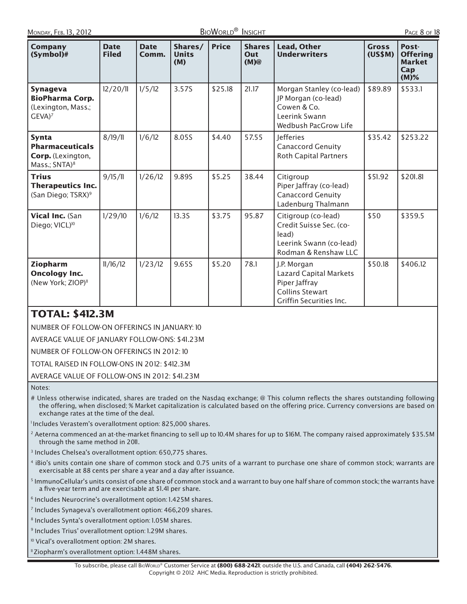| <b>Company</b><br>(Symbol)#                                                              | <b>Date</b><br><b>Filed</b> | <b>Date</b><br>Comm. | Shares/<br><b>Units</b><br>(M) | <b>Price</b> | <b>Shares</b><br>Out<br>(M) | <b>Lead, Other</b><br><b>Underwriters</b>                                                                          | <b>Gross</b><br>(US\$M) | Post-<br><b>Offering</b><br><b>Market</b><br>Cap<br>$(M)\%$ |
|------------------------------------------------------------------------------------------|-----------------------------|----------------------|--------------------------------|--------------|-----------------------------|--------------------------------------------------------------------------------------------------------------------|-------------------------|-------------------------------------------------------------|
| <b>Synageva</b><br><b>BioPharma Corp.</b><br>(Lexington, Mass.;<br>$GEVA)^7$             | 12/20/11                    | 1/5/12               | 3.57S                          | \$25.18      | 21.17                       | Morgan Stanley (co-lead)<br>JP Morgan (co-lead)<br>Cowen & Co.<br>Leerink Swann<br>Wedbush PacGrow Life            | \$89.89                 | \$533.1                                                     |
| <b>Synta</b><br><b>Pharmaceuticals</b><br>Corp. (Lexington,<br>Mass.; SNTA) <sup>8</sup> | 8/19/11                     | 1/6/12               | 8.05S                          | \$4.40       | 57.55                       | <b>Jefferies</b><br><b>Canaccord Genuity</b><br><b>Roth Capital Partners</b>                                       | \$35.42                 | \$253.22                                                    |
| <b>Trius</b><br><b>Therapeutics Inc.</b><br>(San Diego; TSRX) <sup>9</sup>               | 9/15/11                     | 1/26/12              | 9.89S                          | \$5.25       | 38.44                       | Citigroup<br>Piper Jaffray (co-lead)<br><b>Canaccord Genuity</b><br>Ladenburg Thalmann                             | \$51.92                 | \$201.81                                                    |
| Vical Inc. (San<br>Diego; VICL) <sup>10</sup>                                            | 1/29/10                     | 1/6/12               | <b>13.3S</b>                   | \$3.75       | 95.87                       | Citigroup (co-lead)<br>Credit Suisse Sec. (co-<br>lead)<br>Leerink Swann (co-lead)<br>Rodman & Renshaw LLC         | \$50                    | \$359.5                                                     |
| Ziopharm<br><b>Oncology Inc.</b><br>(New York; ZIOP) <sup>11</sup>                       | 11/16/12                    | 1/23/12              | 9.65S                          | \$5.20       | 78.1                        | J.P. Morgan<br><b>Lazard Capital Markets</b><br>Piper Jaffray<br><b>Collins Stewart</b><br>Griffin Securities Inc. | \$50.18                 | \$406.12                                                    |

## TOTAL: \$412.3M

NUMBER OF FOLLOW-ON OFFERINGS IN JANUARY: 10

AVERAGE VALUE OF JANUARY FOLLOW-ONS: \$41 .23M

NUMBER OF FOLLOW-ON OFFERINGS IN 2012: 10

TOTAL RAISED IN FOLLOW-ONS IN 2012: \$412.3M

AVERAGE VALUE OF FOLLOW-ONS IN 2012: \$41.23M

Notes:

# Unless otherwise indicated, shares are traded on the Nasdaq exchange; @ This column reflects the shares outstanding following the offering, when disclosed; % Market capitalization is calculated based on the offering price. Currency conversions are based on exchange rates at the time of the deal.

<sup>1</sup>Includes Verastem's overallotment option: 825,000 shares.

<sup>2</sup> Aeterna commenced an at-the-market financing to sell up to 10.4M shares for up to \$16M. The company raised approximately \$35.5M through the same method in 2011.

3 Includes Chelsea's overallotment option: 650,775 shares.

- 4 iBio's units contain one share of common stock and 0.75 units of a warrant to purchase one share of common stock; warrants are exercisable at 88 cents per share a year and a day after issuance.
- <sup>5</sup> ImmunoCellular's units consist of one share of common stock and a warrant to buy one half share of common stock; the warrants have a five-year term and are exercisable at \$1.41 per share.

<sup>6</sup> Includes Neurocrine's overallotment option: 1.425M shares.

7 Includes Synageva's overallotment option: 466,209 shares.

8 Includes Synta's overallotment option: 1.05M shares.

<sup>9</sup> Includes Trius' overallotment option: 1.29M shares.

<sup>10</sup> Vical's overallotment option: 2M shares.

<sup>1</sup> Ziopharm's overallotment option: 1.448M shares.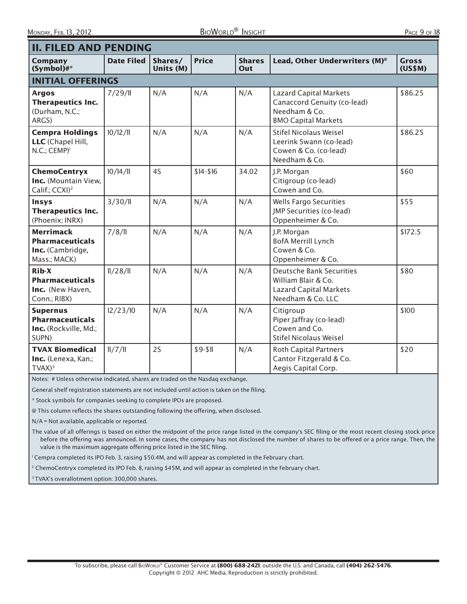| <b>II. FILED AND PENDING</b>                                                            |                   |                      |              |                      |                                                                                                              |                         |
|-----------------------------------------------------------------------------------------|-------------------|----------------------|--------------|----------------------|--------------------------------------------------------------------------------------------------------------|-------------------------|
| <b>Company</b><br>(Symbol)#*                                                            | <b>Date Filed</b> | Shares/<br>Units (M) | <b>Price</b> | <b>Shares</b><br>Out | Lead, Other Underwriters (M) <sup>®</sup>                                                                    | <b>Gross</b><br>(US\$M) |
| <b>INITIAL OFFERINGS</b>                                                                |                   |                      |              |                      |                                                                                                              |                         |
| <b>Argos</b><br><b>Therapeutics Inc.</b><br>(Durham, N.C.;<br>ARGS)                     | 7/29/11           | N/A                  | N/A          | N/A                  | <b>Lazard Capital Markets</b><br>Canaccord Genuity (co-lead)<br>Needham & Co.<br><b>BMO Capital Markets</b>  | \$86.25                 |
| <b>Cempra Holdings</b><br>LLC (Chapel Hill,<br>$N.C.;$ $CEMP$ <sup><math>)</math></sup> | 10/12/11          | N/A                  | N/A          | N/A                  | <b>Stifel Nicolaus Weisel</b><br>Leerink Swann (co-lead)<br>Cowen & Co. (co-lead)<br>Needham & Co.           | \$86.25                 |
| <b>ChemoCentryx</b><br>Inc. (Mountain View,<br>Calif.; CCXI) <sup>2</sup>               | 10/14/11          | 4S                   | $$14 - $16$  | 34.02                | J.P. Morgan<br>Citigroup (co-lead)<br>Cowen and Co.                                                          | \$60                    |
| Insys<br><b>Therapeutics Inc.</b><br>(Phoenix; INRX)                                    | 3/30/11           | N/A                  | N/A          | N/A                  | <b>Wells Fargo Securities</b><br>JMP Securities (co-lead)<br>Oppenheimer & Co.                               | \$55                    |
| <b>Merrimack</b><br><b>Pharmaceuticals</b><br>Inc. (Cambridge,<br>Mass.; MACK)          | 7/8/11            | N/A                  | N/A          | N/A                  | J.P. Morgan<br><b>BofA Merrill Lynch</b><br>Cowen & Co.<br>Oppenheimer & Co.                                 | \$172.5                 |
| Rib-X<br><b>Pharmaceuticals</b><br>Inc. (New Haven,<br>Conn.; RIBX)                     | 11/28/11          | N/A                  | N/A          | N/A                  | <b>Deutsche Bank Securities</b><br>William Blair & Co.<br><b>Lazard Capital Markets</b><br>Needham & Co. LLC | \$80                    |
| <b>Supernus</b><br><b>Pharmaceuticals</b><br>Inc. (Rockville, Md.;<br>SUPN)             | 12/23/10          | N/A                  | N/A          | N/A                  | Citigroup<br>Piper Jaffray (co-lead)<br>Cowen and Co.<br>Stifel Nicolaus Weisel                              | \$100                   |
| <b>TVAX Biomedical</b><br>Inc. (Lenexa, Kan.;<br>$TVAX)^3$                              | 11/7/11           | 2S                   | $$9-51$      | N/A                  | <b>Roth Capital Partners</b><br>Cantor Fitzgerald & Co.<br>Aegis Capital Corp.                               | \$20                    |

Notes: # Unless otherwise indicated, shares are traded on the Nasdaq exchange.

General shelf registration statements are not included until action is taken on the filing.

\* Stock symbols for companies seeking to complete IPOs are proposed.

@ This column reflects the shares outstanding following the offering, when disclosed.

N/A = Not available, applicable or reported.

The value of all offerings is based on either the midpoint of the price range listed in the company's SEC filing or the most recent closing stock price before the offering was announced. In some cases, the company has not disclosed the number of shares to be offered or a price range. Then, the value is the maximum aggregate offering price listed in the SEC filing.

1 Cempra completed its IPO Feb. 3, raising \$50.4M, and will appear as completed in the February chart.

<sup>2</sup> ChemoCentryx completed its IPO Feb. 8, raising \$45M, and will appear as completed in the February chart.

<sup>3</sup> TVAX's overallotment option: 300,000 shares.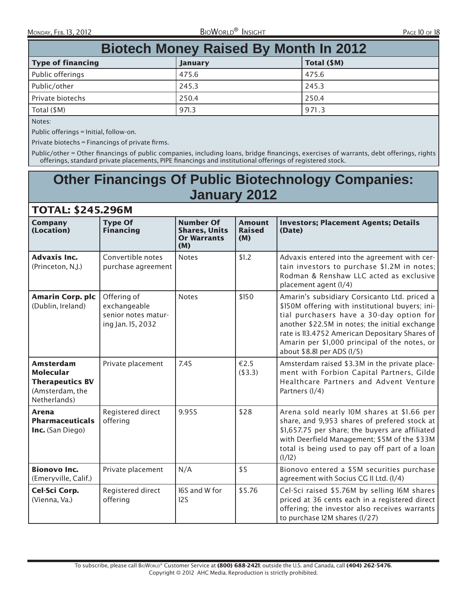| <b>Biotech Money Raised By Month In 2012</b> |                |             |  |  |  |  |  |
|----------------------------------------------|----------------|-------------|--|--|--|--|--|
| <b>Type of financing</b>                     | <b>January</b> | Total (\$M) |  |  |  |  |  |
| Public offerings                             | 475.6          | 475.6       |  |  |  |  |  |
| Public/other                                 | 245.3          | 245.3       |  |  |  |  |  |
| Private biotechs                             | 250.4          | 250.4       |  |  |  |  |  |
| Total $(SM)$                                 | 971.3          | 971.3       |  |  |  |  |  |

Notes:

Public offerings = Initial, follow-on.

TOTAL: \$245.296M

Private biotechs = Financings of private firms.

Public/other = Other financings of public companies, including loans, bridge financings, exercises of warrants, debt offerings, rights offerings, standard private placements, PIPE financings and institutional offerings of registered stock.

# **Other Financings Of Public Biotechnology Companies: January 2012**

| I U I AL. J47J.4JUM                                                                               |                                                                         |                                                                       |                                       |                                                                                                                                                                                                                                                                                                                                |
|---------------------------------------------------------------------------------------------------|-------------------------------------------------------------------------|-----------------------------------------------------------------------|---------------------------------------|--------------------------------------------------------------------------------------------------------------------------------------------------------------------------------------------------------------------------------------------------------------------------------------------------------------------------------|
| <b>Company</b><br>(Location)                                                                      | <b>Type Of</b><br><b>Financing</b>                                      | <b>Number Of</b><br><b>Shares, Units</b><br><b>Or Warrants</b><br>(M) | <b>Amount</b><br><b>Raised</b><br>(M) | <b>Investors; Placement Agents; Details</b><br>(Date)                                                                                                                                                                                                                                                                          |
| <b>Advaxis Inc.</b><br>(Princeton, N.J.)                                                          | Convertible notes<br>purchase agreement                                 | <b>Notes</b>                                                          | \$1.2                                 | Advaxis entered into the agreement with cer-<br>tain investors to purchase \$1.2M in notes;<br>Rodman & Renshaw LLC acted as exclusive<br>placement agent (1/4)                                                                                                                                                                |
| <b>Amarin Corp. plc</b><br>(Dublin, Ireland)                                                      | Offering of<br>exchangeable<br>senior notes matur-<br>ing Jan. 15, 2032 | <b>Notes</b>                                                          | \$150                                 | Amarin's subsidiary Corsicanto Ltd. priced a<br>\$150M offering with institutional buyers; ini-<br>tial purchasers have a 30-day option for<br>another \$22.5M in notes; the initial exchange<br>rate is 113.4752 American Depositary Shares of<br>Amarin per \$1,000 principal of the notes, or<br>about \$8.81 per ADS (1/5) |
| <b>Amsterdam</b><br><b>Molecular</b><br><b>Therapeutics BV</b><br>(Amsterdam, the<br>Netherlands) | Private placement                                                       | 7.4S                                                                  | €2.5<br>( \$3.3)                      | Amsterdam raised \$3.3M in the private place-<br>ment with Forbion Capital Partners, Gilde<br>Healthcare Partners and Advent Venture<br>Partners (1/4)                                                                                                                                                                         |
| Arena<br><b>Pharmaceuticals</b><br>Inc. (San Diego)                                               | Registered direct<br>offering                                           | 9.95S                                                                 | \$28                                  | Arena sold nearly IOM shares at \$1.66 per<br>share, and 9,953 shares of prefered stock at<br>\$1,657.75 per share; the buyers are affiliated<br>with Deerfield Management; \$5M of the \$33M<br>total is being used to pay off part of a loan<br>(1/12)                                                                       |
| <b>Bionovo Inc.</b><br>(Emeryville, Calif.)                                                       | Private placement                                                       | N/A                                                                   | \$5                                   | Bionovo entered a \$5M securities purchase<br>agreement with Socius CG II Ltd. (1/4)                                                                                                                                                                                                                                           |
| Cel-Sci Corp.<br>(Vienna, Va.)                                                                    | Registered direct<br>offering                                           | 16S and W for<br>12S                                                  | \$5.76                                | Cel-Sci raised \$5.76M by selling 16M shares<br>priced at 36 cents each in a registered direct<br>offering; the investor also receives warrants<br>to purchase I2M shares (I/27)                                                                                                                                               |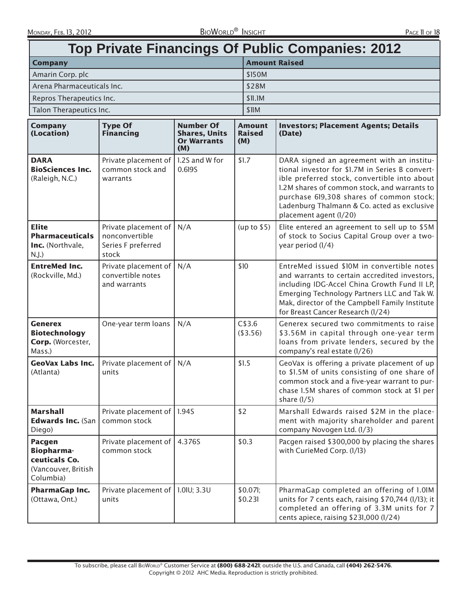| <b>Top Private Financings Of Public Companies: 2012</b>                          |                                                                       |                                                                       |                                       |                                                                                                                                                                                                                                                                                                                   |  |  |
|----------------------------------------------------------------------------------|-----------------------------------------------------------------------|-----------------------------------------------------------------------|---------------------------------------|-------------------------------------------------------------------------------------------------------------------------------------------------------------------------------------------------------------------------------------------------------------------------------------------------------------------|--|--|
| <b>Company</b>                                                                   |                                                                       |                                                                       | <b>Amount Raised</b>                  |                                                                                                                                                                                                                                                                                                                   |  |  |
| Amarin Corp. plc                                                                 |                                                                       |                                                                       | \$150M                                |                                                                                                                                                                                                                                                                                                                   |  |  |
| Arena Pharmaceuticals Inc.                                                       |                                                                       |                                                                       | \$28M                                 |                                                                                                                                                                                                                                                                                                                   |  |  |
|                                                                                  | Repros Therapeutics Inc.                                              |                                                                       |                                       |                                                                                                                                                                                                                                                                                                                   |  |  |
| Talon Therapeutics Inc.                                                          |                                                                       |                                                                       | \$IIM                                 |                                                                                                                                                                                                                                                                                                                   |  |  |
| <b>Company</b><br>(Location)                                                     | <b>Type Of</b><br><b>Financing</b>                                    | <b>Number Of</b><br><b>Shares, Units</b><br><b>Or Warrants</b><br>(M) | <b>Amount</b><br><b>Raised</b><br>(M) | <b>Investors; Placement Agents; Details</b><br>(Date)                                                                                                                                                                                                                                                             |  |  |
| <b>DARA</b><br><b>BioSciences Inc.</b><br>(Raleigh, N.C.)                        | Private placement of<br>common stock and<br>warrants                  | 1.2S and W for<br>0.6195                                              | \$1.7                                 | DARA signed an agreement with an institu-<br>tional investor for \$1.7M in Series B convert-<br>ible preferred stock, convertible into about<br>1.2M shares of common stock, and warrants to<br>purchase 619,308 shares of common stock;<br>Ladenburg Thalmann & Co. acted as exclusive<br>placement agent (1/20) |  |  |
| <b>Elite</b><br><b>Pharmaceuticals</b><br>Inc. (Northvale,<br>$N.J.$ )           | Private placement of<br>nonconvertible<br>Series F preferred<br>stock | N/A                                                                   | (up to \$5)                           | Elite entered an agreement to sell up to \$5M<br>of stock to Socius Capital Group over a two-<br>year period (1/4)                                                                                                                                                                                                |  |  |
| <b>EntreMed Inc.</b><br>(Rockville, Md.)                                         | Private placement of<br>convertible notes<br>and warrants             | N/A                                                                   | \$10                                  | EntreMed issued \$10M in convertible notes<br>and warrants to certain accredited investors,<br>including IDG-Accel China Growth Fund II LP,<br>Emerging Technology Partners LLC and Tak W.<br>Mak, director of the Campbell Family Institute<br>for Breast Cancer Research (1/24)                                 |  |  |
| <b>Generex</b><br><b>Biotechnology</b><br>Corp. (Worcester,<br>Mass.)            | One-year term loans                                                   | N/A                                                                   | C\$3.6<br>( \$3.56)                   | Generex secured two commitments to raise<br>\$3.56M in capital through one-year term<br>loans from private lenders, secured by the<br>company's real estate (1/26)                                                                                                                                                |  |  |
| <b>GeoVax Labs Inc.</b><br>(Atlanta)                                             | Private placement of<br>units                                         | N/A                                                                   | \$1.5                                 | GeoVax is offering a private placement of up<br>to \$1.5M of units consisting of one share of<br>common stock and a five-year warrant to pur-<br>chase 1.5M shares of common stock at \$1 per<br>share $(1/5)$                                                                                                    |  |  |
| <b>Marshall</b><br><b>Edwards Inc. (San</b><br>Diego)                            | Private placement of<br>common stock                                  | 1.945                                                                 | \$2                                   | Marshall Edwards raised \$2M in the place-<br>ment with majority shareholder and parent<br>company Novogen Ltd. (1/3)                                                                                                                                                                                             |  |  |
| Pacgen<br><b>Biopharma-</b><br>ceuticals Co.<br>(Vancouver, British<br>Columbia) | Private placement of<br>common stock                                  | 4.376S                                                                | \$0.3                                 | Pacgen raised \$300,000 by placing the shares<br>with CurieMed Corp. (1/13)                                                                                                                                                                                                                                       |  |  |
| PharmaGap Inc.<br>(Ottawa, Ont.)                                                 | Private placement of   1.01U; 3.3U<br>units                           |                                                                       | \$0.07l;<br>\$0.231                   | PharmaGap completed an offering of 1.01M<br>units for 7 cents each, raising \$70,744 (1/13); it<br>completed an offering of 3.3M units for 7<br>cents apiece, raising \$231,000 (1/24)                                                                                                                            |  |  |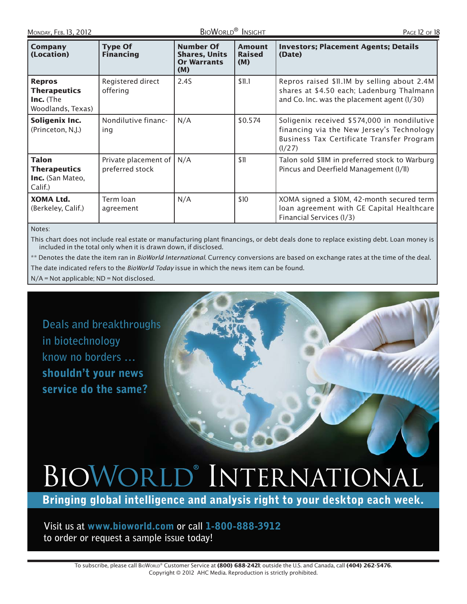| Company<br>(Location)                                                         | <b>Type Of</b><br><b>Financing</b>        | <b>Number Of</b><br><b>Shares, Units</b><br><b>Or Warrants</b><br>(M) | <b>Amount</b><br><b>Raised</b><br>(M) | <b>Investors; Placement Agents; Details</b><br>(Date)                                                                                           |
|-------------------------------------------------------------------------------|-------------------------------------------|-----------------------------------------------------------------------|---------------------------------------|-------------------------------------------------------------------------------------------------------------------------------------------------|
| <b>Repros</b><br><b>Therapeutics</b><br><b>Inc.</b> (The<br>Woodlands, Texas) | Registered direct<br>offering             | 2.4S                                                                  | \$11.1                                | Repros raised \$11.1M by selling about 2.4M<br>shares at \$4.50 each; Ladenburg Thalmann<br>and Co. Inc. was the placement agent (1/30)         |
| Soligenix Inc.<br>(Princeton, N.J.)                                           | Nondilutive financ-<br>ing                | N/A                                                                   | \$0.574                               | Soligenix received \$574,000 in nondilutive<br>financing via the New Jersey's Technology<br>Business Tax Certificate Transfer Program<br>(1/27) |
| <b>Talon</b><br><b>Therapeutics</b><br><b>Inc.</b> (San Mateo,<br>Calif.)     | Private placement of  <br>preferred stock | N/A                                                                   | \$11                                  | Talon sold \$11M in preferred stock to Warburg<br>Pincus and Deerfield Management (1/11)                                                        |
| XOMA Ltd.<br>(Berkeley, Calif.)                                               | Term loan<br>agreement                    | N/A                                                                   | \$10                                  | XOMA signed a \$10M, 42-month secured term<br>loan agreement with GE Capital Healthcare<br>Financial Services (1/3)                             |

Notes:

This chart does not include real estate or manufacturing plant financings, or debt deals done to replace existing debt. Loan money is included in the total only when it is drawn down, if disclosed.

\*\* Denotes the date the item ran in BioWorld International. Currency conversions are based on exchange rates at the time of the deal. The date indicated refers to the BioWorld Today issue in which the news item can be found.

N/A = Not applicable; ND = Not disclosed.

**Deals and breakthroughs in biotechnology know no borders … shouldn't your news service do the same?**

# BIOWORLD® INTERNATIONAL

**Bringing global intelligence and analysis right to your desktop each week.**

**Visit us at www.bioworld.com or call 1-800-888-3912 to order or request a sample issue today!**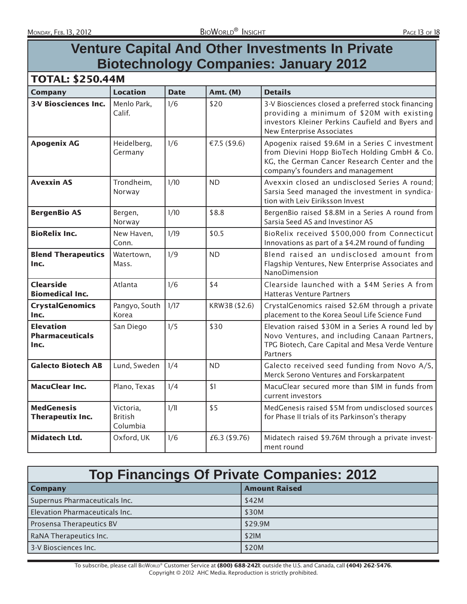# **Venture Capital And Other Investments In Private Biotechnology Companies: January 2012**

| <b>Company</b>                                     | <b>Location</b>                         | <b>Date</b> | Amt. (M)      | <b>Details</b>                                                                                                                                                                        |
|----------------------------------------------------|-----------------------------------------|-------------|---------------|---------------------------------------------------------------------------------------------------------------------------------------------------------------------------------------|
| <b>3-V Biosciences Inc.</b>                        | Menlo Park,<br>Calif.                   | 1/6         | \$20          | 3-V Biosciences closed a preferred stock financing<br>providing a minimum of \$20M with existing<br>investors Kleiner Perkins Caufield and Byers and<br>New Enterprise Associates     |
| <b>Apogenix AG</b>                                 | Heidelberg,<br>Germany                  | 1/6         | €7.5 (\$9.6)  | Apogenix raised \$9.6M in a Series C investment<br>from Dievini Hopp BioTech Holding GmbH & Co.<br>KG, the German Cancer Research Center and the<br>company's founders and management |
| <b>Avexxin AS</b>                                  | Trondheim,<br>Norway                    | 1/10        | <b>ND</b>     | Avexxin closed an undisclosed Series A round;<br>Sarsia Seed managed the investment in syndica-<br>tion with Leiv Eiriksson Invest                                                    |
| <b>BergenBio AS</b>                                | Bergen,<br>Norway                       | 1/10        | \$8.8         | BergenBio raised \$8.8M in a Series A round from<br>Sarsia Seed AS and Investinor AS                                                                                                  |
| <b>BioRelix Inc.</b>                               | New Haven,<br>Conn.                     | 1/19        | \$0.5         | BioRelix received \$500,000 from Connecticut<br>Innovations as part of a \$4.2M round of funding                                                                                      |
| <b>Blend Therapeutics</b><br>Inc.                  | Watertown,<br>Mass.                     | 1/9         | <b>ND</b>     | Blend raised an undisclosed amount from<br>Flagship Ventures, New Enterprise Associates and<br>NanoDimension                                                                          |
| <b>Clearside</b><br><b>Biomedical Inc.</b>         | Atlanta                                 | 1/6         | \$4           | Clearside launched with a \$4M Series A from<br><b>Hatteras Venture Partners</b>                                                                                                      |
| <b>CrystalGenomics</b><br>Inc.                     | Pangyo, South<br>Korea                  | 1/17        | KRW3B (\$2.6) | CrystalGenomics raised \$2.6M through a private<br>placement to the Korea Seoul Life Science Fund                                                                                     |
| <b>Elevation</b><br><b>Pharmaceuticals</b><br>Inc. | San Diego                               | 1/5         | \$30          | Elevation raised \$30M in a Series A round led by<br>Novo Ventures, and including Canaan Partners,<br>TPG Biotech, Care Capital and Mesa Verde Venture<br>Partners                    |
| <b>Galecto Biotech AB</b>                          | Lund, Sweden                            | 1/4         | <b>ND</b>     | Galecto received seed funding from Novo A/S,<br>Merck Serono Ventures and Forskarpatent                                                                                               |
| <b>MacuClear Inc.</b>                              | Plano, Texas                            | 1/4         | \$1           | MacuClear secured more than \$1M in funds from<br>current investors                                                                                                                   |
| <b>MedGenesis</b><br><b>Therapeutix Inc.</b>       | Victoria,<br><b>British</b><br>Columbia | 1/11        | \$5           | MedGenesis raised \$5M from undisclosed sources<br>for Phase II trials of its Parkinson's therapy                                                                                     |
| <b>Midatech Ltd.</b>                               | Oxford, UK                              | 1/6         | £6.3 (\$9.76) | Midatech raised \$9.76M through a private invest-<br>ment round                                                                                                                       |

| <b>Top Financings Of Private Companies: 2012</b> |                      |  |  |  |
|--------------------------------------------------|----------------------|--|--|--|
| <b>Company</b>                                   | <b>Amount Raised</b> |  |  |  |
| Supernus Pharmaceuticals Inc.                    | \$42M                |  |  |  |
| Elevation Pharmaceuticals Inc.                   | \$30M                |  |  |  |
| Prosensa Therapeutics BV                         | \$29.9M              |  |  |  |
| RaNA Therapeutics Inc.                           | \$21M                |  |  |  |
| 3-V Biosciences Inc.                             | \$20M                |  |  |  |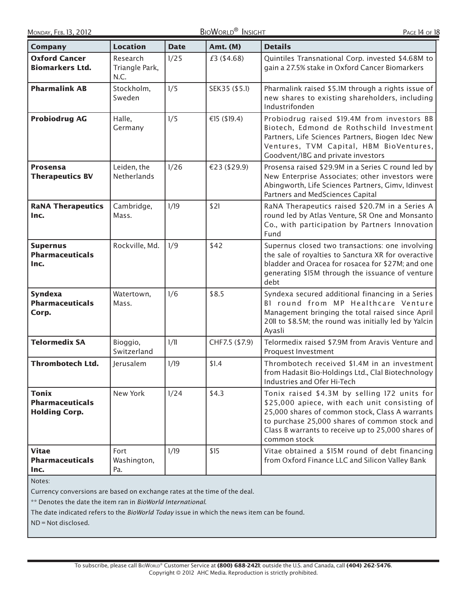| <b>Company</b>                                           | <b>Location</b>                    | <b>Date</b> | Amt. (M)       | <b>Details</b>                                                                                                                                                                                                                                                          |
|----------------------------------------------------------|------------------------------------|-------------|----------------|-------------------------------------------------------------------------------------------------------------------------------------------------------------------------------------------------------------------------------------------------------------------------|
| <b>Oxford Cancer</b><br><b>Biomarkers Ltd.</b>           | Research<br>Triangle Park,<br>N.C. | 1/25        | £3 (\$4.68)    | Quintiles Transnational Corp. invested \$4.68M to<br>gain a 27.5% stake in Oxford Cancer Biomarkers                                                                                                                                                                     |
| <b>Pharmalink AB</b>                                     | Stockholm,<br>Sweden               | 1/5         | SEK35 (\$5.1)  | Pharmalink raised \$5.1M through a rights issue of<br>new shares to existing shareholders, including<br>Industrifonden                                                                                                                                                  |
| <b>Probiodrug AG</b>                                     | Halle,<br>Germany                  | 1/5         | €15 (\$19.4)   | Probiodrug raised \$19.4M from investors BB<br>Biotech, Edmond de Rothschild Investment<br>Partners, Life Sciences Partners, Biogen Idec New<br>Ventures, TVM Capital, HBM BioVentures,<br>Goodvent/IBG and private investors                                           |
| <b>Prosensa</b><br><b>Therapeutics BV</b>                | Leiden, the<br>Netherlands         | 1/26        | €23 (\$29.9)   | Prosensa raised \$29.9M in a Series C round led by<br>New Enterprise Associates; other investors were<br>Abingworth, Life Sciences Partners, Gimv, Idinvest<br>Partners and MedSciences Capital                                                                         |
| <b>RaNA Therapeutics</b><br>Inc.                         | Cambridge,<br>Mass.                | 1/19        | \$21           | RaNA Therapeutics raised \$20.7M in a Series A<br>round led by Atlas Venture, SR One and Monsanto<br>Co., with participation by Partners Innovation<br>Fund                                                                                                             |
| <b>Supernus</b><br><b>Pharmaceuticals</b><br>Inc.        | Rockville, Md.                     | 1/9         | \$42           | Supernus closed two transactions: one involving<br>the sale of royalties to Sanctura XR for overactive<br>bladder and Oracea for rosacea for \$27M; and one<br>generating \$15M through the issuance of venture<br>debt                                                 |
| <b>Syndexa</b><br><b>Pharmaceuticals</b><br>Corp.        | Watertown,<br>Mass.                | 1/6         | \$8.5          | Syndexa secured additional financing in a Series<br>BI round from MP Healthcare Venture<br>Management bringing the total raised since April<br>2011 to \$8.5M; the round was initially led by Yalcin<br>Ayasli                                                          |
| <b>Telormedix SA</b>                                     | Bioggio,<br>Switzerland            | 1/11        | CHF7.5 (\$7.9) | Telormedix raised \$7.9M from Aravis Venture and<br>Proquest Investment                                                                                                                                                                                                 |
| <b>Thrombotech Ltd.</b>                                  | lerusalem                          | 1/19        | \$1.4          | Thrombotech received \$1.4M in an investment<br>from Hadasit Bio-Holdings Ltd., Clal Biotechnology<br>Industries and Ofer Hi-Tech                                                                                                                                       |
| Tonix<br><b>Pharmaceuticals</b><br><b>Holding Corp.</b>  | New York                           | 1/24        | \$4.3          | Tonix raised \$4.3M by selling 172 units for<br>\$25,000 apiece, with each unit consisting of<br>25,000 shares of common stock, Class A warrants<br>to purchase 25,000 shares of common stock and<br>Class B warrants to receive up to 25,000 shares of<br>common stock |
| <b>Vitae</b><br><b>Pharmaceuticals</b><br>Inc.<br>Notor: | Fort<br>Washington,<br>Pa.         | 1/19        | \$15           | Vitae obtained a \$15M round of debt financing<br>from Oxford Finance LLC and Silicon Valley Bank                                                                                                                                                                       |

Notes:

Currency conversions are based on exchange rates at the time of the deal.

\*\* Denotes the date the item ran in BioWorld International.

The date indicated refers to the BioWorld Today issue in which the news item can be found.

ND = Not disclosed.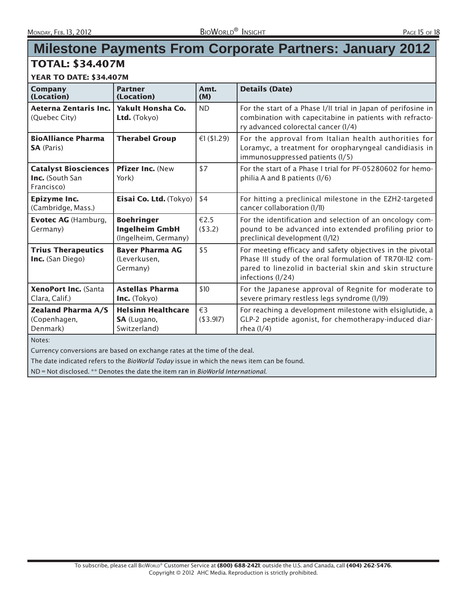# **Milestone Payments From Corporate Partners: January 2012**

# TOTAL: \$34.407M

#### YEAR TO DATE: \$34.407M

| Company<br>(Location)                                               | <b>Partner</b><br>(Location)                                       | Amt.<br>(M)               | <b>Details (Date)</b>                                                                                                                                                                                  |
|---------------------------------------------------------------------|--------------------------------------------------------------------|---------------------------|--------------------------------------------------------------------------------------------------------------------------------------------------------------------------------------------------------|
| Aeterna Zentaris Inc.<br>(Quebec City)                              | <b>Yakult Honsha Co.</b><br>Ltd. $(Tokyo)$                         | <b>ND</b>                 | For the start of a Phase I/II trial in Japan of perifosine in<br>combination with capecitabine in patients with refracto-<br>ry advanced colorectal cancer (1/4)                                       |
| <b>BioAlliance Pharma</b><br><b>SA</b> (Paris)                      | <b>Therabel Group</b>                                              | €1 $($1.29)$              | For the approval from Italian health authorities for<br>Loramyc, a treatment for oropharyngeal candidiasis in<br>immunosuppressed patients (1/5)                                                       |
| <b>Catalyst Biosciences</b><br><b>Inc.</b> (South San<br>Francisco) | Pfizer Inc. (New<br>York)                                          | \$7                       | For the start of a Phase I trial for PF-05280602 for hemo-<br>philia A and B patients (1/6)                                                                                                            |
| Epizyme Inc.<br>(Cambridge, Mass.)                                  | Eisai Co. Ltd. (Tokyo)                                             | \$4                       | For hitting a preclinical milestone in the EZH2-targeted<br>cancer collaboration (1/11)                                                                                                                |
| <b>Evotec AG</b> (Hamburg,<br>Germany)                              | <b>Boehringer</b><br><b>Ingelheim GmbH</b><br>(Ingelheim, Germany) | €2.5<br>(\$3.2)           | For the identification and selection of an oncology com-<br>pound to be advanced into extended profiling prior to<br>preclinical development (1/12)                                                    |
| <b>Trius Therapeutics</b><br><b>Inc.</b> (San Diego)                | <b>Bayer Pharma AG</b><br>(Leverkusen,<br>Germany)                 | \$5                       | For meeting efficacy and safety objectives in the pivotal<br>Phase III study of the oral formulation of TR701-112 com-<br>pared to linezolid in bacterial skin and skin structure<br>infections (1/24) |
| XenoPort Inc. (Santa<br>Clara, Calif.)                              | <b>Astellas Pharma</b><br>Inc. (Tokyo)                             | \$10                      | For the Japanese approval of Regnite for moderate to<br>severe primary restless legs syndrome (1/19)                                                                                                   |
| <b>Zealand Pharma A/S</b><br>(Copenhagen,<br>Denmark)               | <b>Helsinn Healthcare</b><br>SA (Lugano,<br>Switzerland)           | $\epsilon$ 3<br>(\$3.917) | For reaching a development milestone with elsiglutide, a<br>GLP-2 peptide agonist, for chemotherapy-induced diar-<br>rhea $(1/4)$                                                                      |
| Notes:                                                              |                                                                    |                           |                                                                                                                                                                                                        |

Currency conversions are based on exchange rates at the time of the deal.

The date indicated refers to the BioWorld Today issue in which the news item can be found.

ND = Not disclosed. \*\* Denotes the date the item ran in BioWorld International.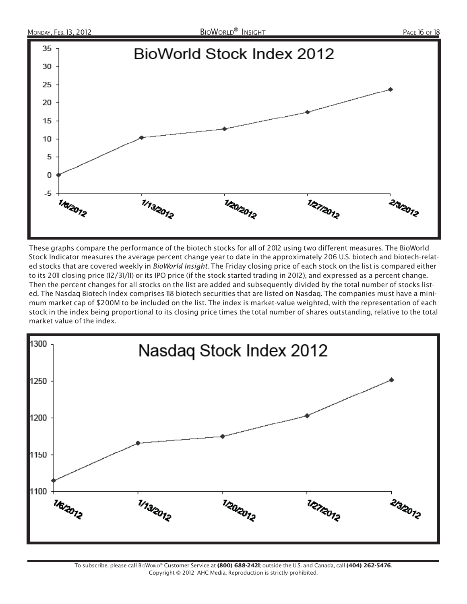

These graphs compare the performance of the biotech stocks for all of 2012 using two different measures. The BioWorld Stock Indicator measures the average percent change year to date in the approximately 206 U.S. biotech and biotech-related stocks that are covered weekly in BioWorld Insight. The Friday closing price of each stock on the list is compared either to its 2011 closing price (12/31/11) or its IPO price (if the stock started trading in 2012), and expressed as a percent change. Then the percent changes for all stocks on the list are added and subsequently divided by the total number of stocks listed. The Nasdaq Biotech Index comprises 118 biotech securities that are listed on Nasdaq. The companies must have a minimum market cap of \$200M to be included on the list. The index is market-value weighted, with the representation of each stock in the index being proportional to its closing price times the total number of shares outstanding, relative to the total market value of the index.

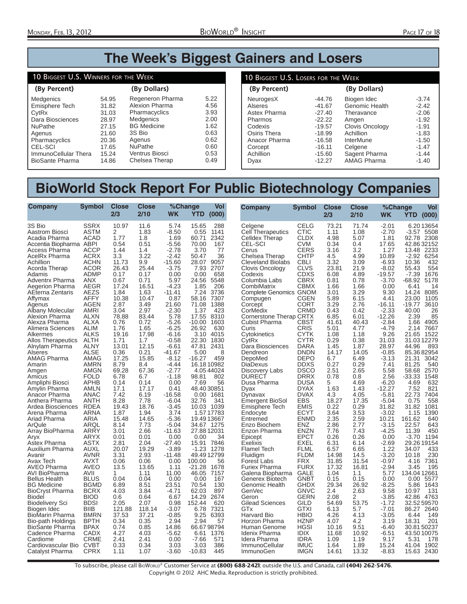# **The Week's Biggest Gainers and Losers**

#### 10 BIGGEST U.S. WINNERS FOR THE WEEK

| (By Percent)           |       | (By Dollars)          |      |
|------------------------|-------|-----------------------|------|
| Medgenics              | 54.95 | Regeneron Pharma      | 5.22 |
| Emisphere Tech         | 31.82 | Alexion Pharma        | 4.56 |
| CytRx                  | 31.03 | Pharmacyclics         | 3.93 |
| Dara Biosciences       | 28.97 | <b>Medgenics</b>      | 2.00 |
| <b>NuPathe</b>         | 27.15 | <b>BG</b> Medicine    | 1.62 |
| Agenus                 | 21.60 | 3S Bio                | 0.63 |
| Pharmacyclics          | 20.36 | Agenus                | 0.62 |
| <b>CEL-SCI</b>         | 17.65 | <b>NuPathe</b>        | 0.60 |
| ImmunoCellular Thera   | 15.24 | <b>Ventrus Biosci</b> | 0.53 |
| <b>BioSante Pharma</b> | 14.86 | Chelsea Therap        | 0.49 |

#### **(By Percent) (By Dollars)** 10 BIGGEST U.S. LOSERS FOR THE WEEK NeurogesX -44.76<br>Alseres -41.67 Alseres -41.67<br>Astex Pharma -27.40 Astex Pharma -27.40<br>Pharmos -22.22 Pharmos -22.22<br>Codexis -19.57 Codexis -19.57<br>Osiris Thera -18.99 Osiris Thera 18.99<br>Anacor Pharma 16.58 Anacor Pharma -16.58<br>Corcept -16.11 Corcept -16.11<br>Achillion -15.60 Achillion<br>Dyax  $-12.27$ Biogen Idec -3.74<br>Genomic Health -2.42 Genomic Health -2.42<br>Theravance -2.06 Theravance -2.06<br>Amgen -1.92 Amgen -1.92<br>Clovis Oncology -1.91 Clovis Oncology 1.91<br>Achillion 1.83 Achillion InterMune -1.50<br>Celgene -1.47 Celgene -1.47<br>Sagent Pharma -1.44 Sagent Pharma<br>AMAG Pharma -1.40 AMAG Pharma

# **BioWorld Stock Report For Public Biotechnology Companies**

| <b>SSRX</b><br>10.97<br>11.6<br>15.65<br>288<br><b>CELG</b><br>73.21<br>71.74<br>$-2.01$<br>3S Bio<br>5.74<br>Celgene<br>Aastrom Biosci<br><b>ASTM</b><br>2<br>1.83<br>$-8.50$<br>0.55<br>Cell Therapeutics<br>CTIC<br>1.11<br>$-2.70$<br>1141<br>1.08<br><b>ACAD</b><br>2342<br>CLDX<br>4.98<br>5.07<br>92.78<br>Acadia Pharma<br>1.77<br>1.8<br>1.69<br>60.71<br><b>Celldex Therap</b><br>1.81<br>ABPI<br>0.51<br><b>CEL-SCI</b><br>CVM<br>0.34<br>17.65<br>Accentia Biopharma<br>0.54<br>$-5.56$<br>70.00<br>167<br>0.4<br><b>CERS</b><br><b>ACCP</b><br>1.44<br>1.4<br>$-2.78$<br>3.70<br>3.16<br>3.2<br>1.27<br>Access Pharma<br>77<br>Cerus<br>13.48<br>AcelRx Pharma<br><b>ACRX</b><br>3.3<br>3.22<br>$-2.42$<br><b>CHTP</b><br>4.99<br>10.89<br>50.47<br>36<br>Chelsea Therap<br>4.5<br><b>CBLI</b><br><b>ACHN</b><br>11.73<br>9.9<br>$-15.60$<br>28.07<br>9057<br><b>Cleveland Biolabs</b><br>3.32<br>3.09<br>$-6.93$<br>10.36<br>Achillion<br>7.93<br>2707<br><b>CLVS</b><br>23.81<br>Acorda Therap<br><b>ACOR</b><br>26.43<br>25.44<br>$-3.75$<br>Clovis Oncology<br>21.9<br>$-8.02$<br>55.43<br><b>ADMP</b><br>658<br>CDXS<br>4.89<br>$-19.57$<br>$-7.39$<br>Adamis<br>0.17<br>0.17<br>0.00<br>0.00<br>Codexis<br>6.08<br>5548<br>$-3.70$<br>Adventrx Pharma<br>ANX<br>0.67<br>0.71<br>5.97<br>24.56<br>Columbia Labs<br><b>CBRX</b><br>0.81<br>0.78<br>-68.92<br>17.24<br>1.85<br>1.66<br>0.00<br>Aegerion Pharma<br>AEGR<br>16.51<br>$-4.23$<br>206<br>CombiMatrix<br>СВМХ<br>1.66<br>6.41<br><b>AEZS</b><br>1.63<br>3.29<br>9.30<br>14.24<br>AEterna Zentaris<br>1.84<br>-11.41<br>7.24<br>3736<br><b>Complete Genomics GNOM</b><br>3.01<br>AFFY<br>10.38<br>10.47<br>0.87<br>58.16<br>7307<br>Compugen<br>CGEN<br>5.89<br>6.15<br>4.41<br>23.00<br>Affymax<br><b>AGEN</b><br>2.87<br>3.49<br>21.60<br>71.08<br>1388<br>Corcept<br>CORT<br>3.29<br>2.76<br>$-16.11$<br>$-19.77$<br>Agenus<br>Albany Molecular<br>AMRI<br>3.04<br>2.97<br>$-2.30$<br>1.37<br>423<br>CorMedix<br><b>CRMD</b><br>0.43<br>0.42<br>$-2.33$<br>40.00<br><b>ALXN</b><br>Alexion Pharma<br>78.88<br>83.44<br>5.78<br>17.55<br>8310<br>Cornerstone Therap CRTX<br>6.85<br>6.01<br>$-12.26$<br>2.39<br>Alexza Pharma<br><b>ALXA</b><br>0.76<br>0.72<br>$-5.26$<br>$-10.00$<br>1603<br><b>Cubist Pharma</b><br>CBST<br>41.61<br>40.43<br>$-2.84$<br>1.66<br>$-4.79$<br>Alimera Sciences<br><b>ALIM</b><br>1.76<br>1.65<br>$-6.25$<br>26.92<br>630<br>CRIS<br>5.01<br>4.77<br>2.14<br>Curis<br><b>ALKS</b><br>19.16<br>17.98<br>$-6.16$<br>3.10<br>4015<br><b>CYTK</b><br>1.08<br>1.18<br>9.26<br>21.65<br>Alkermes<br>Cytokinetics<br>ALTH<br>1.71<br>1830<br>CYTR<br>0.29<br>0.38<br>31.03<br><b>Allos Therapeutics</b><br>1.7<br>$-0.58$<br>22.30<br>CytRx<br>Alnylam Pharma<br><b>ALNY</b><br>13.01<br>12.15<br>47.81<br>2431<br>Dara Biosciences<br><b>DARA</b><br>1.45<br>1.87<br>28.97<br>44.96<br>-6.61<br><b>ALSE</b><br>5.00<br>DNDN<br>14.17<br>14.05<br>$-0.85$<br>Alseres<br>0.36<br>0.21<br>-41.67<br>8<br>Dendreon<br>17.25<br>15.85<br>$-8.12$<br>$-16.27$<br><b>DEPO</b><br>AMAG Pharma<br>AMAG<br>459<br>DepoMed<br>6.7<br>6.49<br>$-3.13$<br>21.31<br>16.18 10982<br><b>DiaDexus</b><br><b>DDXS</b><br>0.29<br>AMRN<br>8.79<br>8.4<br>$-4.44$<br>0.27<br>7.41<br>81.25<br>Amarin<br><b>AMGN</b><br>69.28<br><b>DSCO</b><br>5.58<br>67.36<br>$-2.77$<br>4.0544024<br>Discovery Labs<br>2.51<br>2.65<br>58.68<br>Amgen<br>802<br><b>DURECT</b><br><b>DRRX</b><br><b>FOLD</b><br>6.78<br>6.7<br>$-1.18$<br>98.81<br>0.78<br>0.8<br>2.56<br>-33.33<br>Amicus<br>Ampliphi Biosci<br><b>APHB</b><br>0.14<br>0.14<br>0.00<br>7.69<br>56<br>Dusa Pharma<br><b>DUSA</b><br>5<br>4.69<br>$-6.20$<br>4.69<br><b>AMLN</b><br>$-12.27$<br>17.1<br>17.17<br>48.4030851<br><b>DYAX</b><br>1.63<br>1.43<br>0.41<br>Dyax | Company       | %Change<br>Vol<br>YTD<br>(000)                                                                                                                                                                                                                                                                                                                                                                                                                                                                           |
|---------------------------------------------------------------------------------------------------------------------------------------------------------------------------------------------------------------------------------------------------------------------------------------------------------------------------------------------------------------------------------------------------------------------------------------------------------------------------------------------------------------------------------------------------------------------------------------------------------------------------------------------------------------------------------------------------------------------------------------------------------------------------------------------------------------------------------------------------------------------------------------------------------------------------------------------------------------------------------------------------------------------------------------------------------------------------------------------------------------------------------------------------------------------------------------------------------------------------------------------------------------------------------------------------------------------------------------------------------------------------------------------------------------------------------------------------------------------------------------------------------------------------------------------------------------------------------------------------------------------------------------------------------------------------------------------------------------------------------------------------------------------------------------------------------------------------------------------------------------------------------------------------------------------------------------------------------------------------------------------------------------------------------------------------------------------------------------------------------------------------------------------------------------------------------------------------------------------------------------------------------------------------------------------------------------------------------------------------------------------------------------------------------------------------------------------------------------------------------------------------------------------------------------------------------------------------------------------------------------------------------------------------------------------------------------------------------------------------------------------------------------------------------------------------------------------------------------------------------------------------------------------------------------------------------------------------------------------------------------------------------------------------------------------------------------------------------------------------------------------------------------------------------------------------------------------------------------------------------------------------------------------------------------------------------------------------------------------------------------------------------------------------------------------------------------------------------------------------------------------------------------------------------------------------------------------------------------------------------------------------------------------------------------------------------------------------------------------------------------------------------------------------------------------------------------|---------------|----------------------------------------------------------------------------------------------------------------------------------------------------------------------------------------------------------------------------------------------------------------------------------------------------------------------------------------------------------------------------------------------------------------------------------------------------------------------------------------------------------|
| <b>ANAC</b><br><b>DVAX</b><br>$-5.81$<br>22.73<br>Anacor Pharma<br>7.42<br>6.19<br>$-16.58$<br>0.00<br>1681<br>4.3<br>4.05<br>Dynavax<br><b>EBS</b><br>ANTH<br>8.28<br>$-6.04$<br>18.27<br>17.35<br>$-5.04$<br>Anthera Pharma<br>7.78<br>32.76<br>341<br><b>Emergent BioSol</b><br>0.75<br>18.76<br><b>EMIS</b><br>31.82<br>Ardea Biosciences<br><b>RDEA</b><br>$-3.45$<br>10.03<br>1039<br>0.22<br>0.29<br>31.82<br>19.43<br>Emisphere Tech<br><b>ARNA</b><br>1.94<br>1.15<br>Arena Pharma<br>1.87<br>3.74<br>1.57 17783<br>Endocyte<br><b>ECYT</b><br>3.64<br>3.53<br>$-3.02$<br>Ariad Pharma<br>10.21<br><b>ARIA</b><br>14.65<br>$-5.36$<br>19.49 13667<br>2.35<br>2.59<br>161.62<br>15.48<br>Entremed<br>ENMD<br>$-3.15$<br>ArQule<br>ARQL<br>8.14<br>7.73<br>$-5.04$<br>34.67 1275<br>Enzo Biochem<br>ENZ<br>2.86<br>2.77<br>22.57<br>ARRY<br>$-11.63$<br>27.8812031<br>Enzon Pharma<br><b>ENZN</b><br>7.76<br>$-4.25$<br>11.39<br>Array BioPharma<br>3.01<br>2.66<br>7.43<br>ARYX<br>0.01<br>0.00<br>0.00<br>34<br>EPCT<br>0.26<br>0.26<br>0.00<br>$-3.70$<br>Aryx<br>0.01<br>Epicept<br>2.04<br>Astex Pharma<br>ASTX<br>-27.40<br>15.91<br><b>Exelixis</b><br>EXEL<br>6.31<br>6.14<br>$-2.69$<br>2.81<br>7846<br>19.29<br>20.07<br>$-3.89$<br>$-1.23$<br>1278<br><b>FLML</b><br>6.65<br>1.22<br>34.07<br>Auxilium Pharma<br>AUXL<br><b>Flamel Tech</b><br>6.57<br><b>FLDM</b><br>$-3.20$<br><b>AVNR</b><br>3.31<br>2.93<br>$-11.48$<br>49.4912799<br>14.98<br>14.5<br>10.18<br>Avanir<br>Fluidigm<br>100.00<br><b>FRX</b><br>31.54<br>$-0.97$<br>Avax Tech<br><b>AVXT</b><br>0.06<br>0.06<br>0.00<br>56<br>Forest Labs<br>31.85<br>4.16<br><b>AVEO</b><br>AVEO Pharma<br>13.65<br>$-21.28$<br><b>Furiex Pharma</b><br><b>FURX</b><br>17.32<br>$-2.94$<br>3.45<br>13.5<br>1.11<br>1678<br>16.81<br><b>GALE</b><br>AVI BioPharma<br>AVII<br>1.11<br>11.00<br>46.05<br>7157<br>Galena Biopharma<br>1.04<br>1.1<br>5.77<br>1<br><b>Bellus Health</b><br><b>BLUS</b><br>0.04<br>0.00<br>0.00<br>167<br>Generex Biotech<br>GNBT<br>0.15<br>0.15<br>0.00<br>0.04<br>0.00<br><b>BGMD</b><br>6.89<br>8.51<br>23.51<br>70.54<br>130<br>GHDX<br>29.34<br>26.92<br>$-8.25$<br><b>BG Medicine</b><br>Genomic Health<br>5.86<br><b>BioCryst Pharma</b><br><b>BCRX</b><br>4.03<br>3.84<br>$-4.71$<br>62.03<br>897<br><b>GenVec</b><br>2.4<br>2.63<br>9.58<br>GNVC<br>10.97<br>0.64<br>14.29<br>GERN<br><b>Biodel</b><br><b>BIOD</b><br>0.6<br>6.67<br>2674<br>2.08<br>2<br>$-3.85$<br>42.86<br>Geron<br>$-1.72$<br><b>Biodelivery Sci</b><br><b>BDSI</b><br>2.05<br>2.07<br>0.98<br>152.44<br>620<br><b>Gilead Sciences</b><br>GILD<br>54.69<br>53.75<br>Biogen Idec<br><b>BIIB</b><br>121.88<br>118.14<br>$-3.07$<br>6.78<br>7321<br>GTx<br>GTXI<br>6.13<br>5.7<br>$-7.01$<br>86.27<br>BioMarin Pharma<br><b>BMRN</b><br>37.53<br>37.21<br>$-0.85$<br>9.25<br>6393<br>Harvard Bio<br><b>HBIO</b><br>4.26<br>4.13<br>$-3.05$<br>6.44<br><b>HZNP</b><br>Bio-path Holdings<br><b>BPTH</b><br>0.34<br>0.35<br>2.94<br>2.94<br>57<br>Horzon Pharma<br>4.07<br>4.2<br>3.19<br>18.31<br>BioSante Pharma<br><b>BPAX</b><br>0.74<br>0.85<br>14.86<br>66.6798794<br><b>HGSI</b><br>10.16<br>9.51<br>$-6.40$<br>Human Genome<br>Cadence Pharma<br><b>CADX</b><br>4.27<br>4.03<br>$-5.62$<br>6.61 1376<br>Idenix Pharma<br><b>IDIX</b><br>11.68<br>10.92<br>$-6.51$<br><b>CRME</b><br>$-7.66$<br>Idera Pharma<br><b>IDRA</b><br>1.19<br>5.31<br>Cardiome<br>2.41<br>2.41<br>0.00<br>571<br>1.09<br>9.17<br><b>CVBT</b><br>0.33<br>0.34<br>386<br>1.89<br>15.24<br>Cardiovascular Bio<br>3.03<br>3.03<br><b>ImmunoCellular</b><br><b>IMUC</b><br>1.64<br>41.04                                                                                                                                                                    | Amylin Pharma | 6.2013654<br>-3.57<br>5508<br>2308<br>42.8632152<br>2233<br>$-2.92$<br>6254<br>432<br>554<br>1676<br>5178<br>14<br>8085<br>1105<br>3610<br>26<br>85<br>4905<br>7667<br>1522<br>31.0312279<br>893<br>85.3682954<br>3042<br>540<br>2570<br>1548<br>632<br>7.52<br>821<br>7404<br>558<br>1081<br>1390<br>640<br>643<br>450<br>1194<br>29.26 19154<br>433<br>230<br>7361<br>195<br>134.0412661<br>5577<br>1643<br>131<br>4763<br>32.5259570<br>2640<br>149<br>201<br>30.8150237<br>43.5010075<br>178<br>1902 |